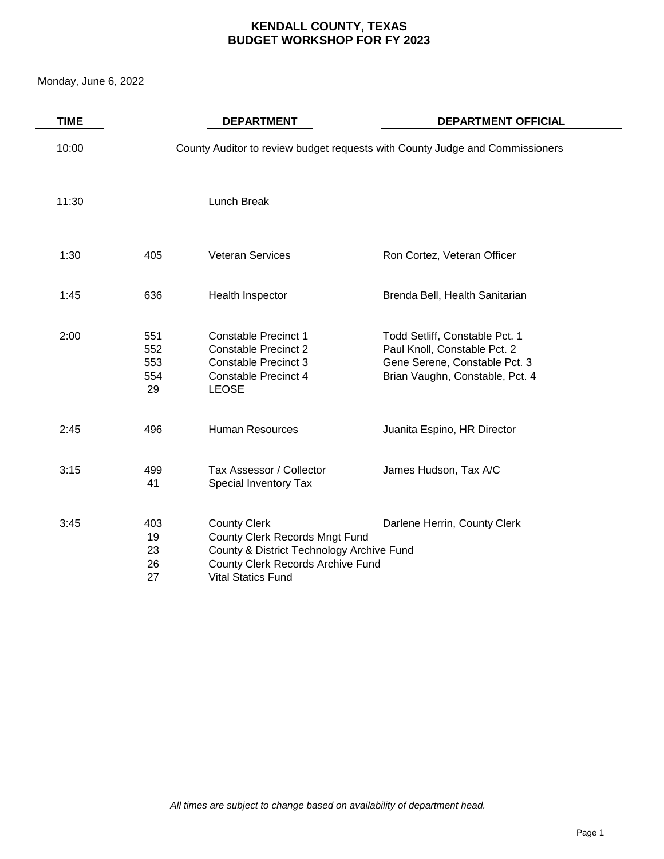Monday, June 6, 2022

| <b>TIME</b> |                                | <b>DEPARTMENT</b>                                                                                                                                                           | <b>DEPARTMENT OFFICIAL</b>                                                                                                         |
|-------------|--------------------------------|-----------------------------------------------------------------------------------------------------------------------------------------------------------------------------|------------------------------------------------------------------------------------------------------------------------------------|
| 10:00       |                                |                                                                                                                                                                             | County Auditor to review budget requests with County Judge and Commissioners                                                       |
| 11:30       |                                | Lunch Break                                                                                                                                                                 |                                                                                                                                    |
| 1:30        | 405                            | <b>Veteran Services</b>                                                                                                                                                     | Ron Cortez, Veteran Officer                                                                                                        |
| 1:45        | 636                            | Health Inspector                                                                                                                                                            | Brenda Bell, Health Sanitarian                                                                                                     |
| 2:00        | 551<br>552<br>553<br>554<br>29 | <b>Constable Precinct 1</b><br><b>Constable Precinct 2</b><br><b>Constable Precinct 3</b><br><b>Constable Precinct 4</b><br><b>LEOSE</b>                                    | Todd Setliff, Constable Pct. 1<br>Paul Knoll, Constable Pct. 2<br>Gene Serene, Constable Pct. 3<br>Brian Vaughn, Constable, Pct. 4 |
| 2:45        | 496                            | <b>Human Resources</b>                                                                                                                                                      | Juanita Espino, HR Director                                                                                                        |
| 3:15        | 499<br>41                      | Tax Assessor / Collector<br>Special Inventory Tax                                                                                                                           | James Hudson, Tax A/C                                                                                                              |
| 3:45        | 403<br>19<br>23<br>26<br>27    | <b>County Clerk</b><br><b>County Clerk Records Mngt Fund</b><br>County & District Technology Archive Fund<br>County Clerk Records Archive Fund<br><b>Vital Statics Fund</b> | Darlene Herrin, County Clerk                                                                                                       |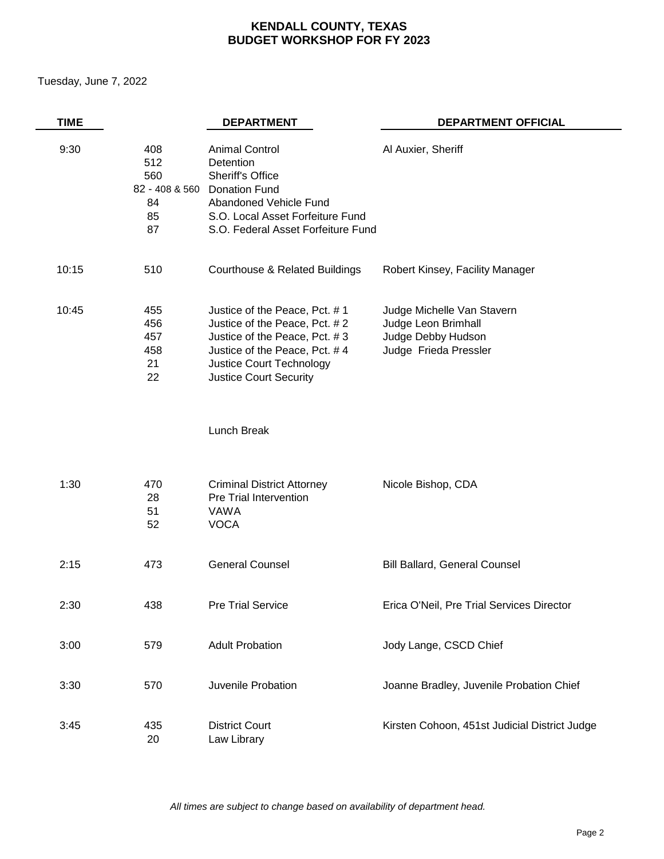Tuesday, June 7, 2022

| <b>TIME</b> |                                      | <b>DEPARTMENT</b>                                                                                                                                                                                    | <b>DEPARTMENT OFFICIAL</b>                                                                       |
|-------------|--------------------------------------|------------------------------------------------------------------------------------------------------------------------------------------------------------------------------------------------------|--------------------------------------------------------------------------------------------------|
| 9:30        | 408<br>512<br>560<br>84<br>85<br>87  | <b>Animal Control</b><br>Detention<br><b>Sheriff's Office</b><br>82 - 408 & 560 Donation Fund<br>Abandoned Vehicle Fund<br>S.O. Local Asset Forfeiture Fund<br>S.O. Federal Asset Forfeiture Fund    | Al Auxier, Sheriff                                                                               |
| 10:15       | 510                                  | <b>Courthouse &amp; Related Buildings</b>                                                                                                                                                            | Robert Kinsey, Facility Manager                                                                  |
| 10:45       | 455<br>456<br>457<br>458<br>21<br>22 | Justice of the Peace, Pct. #1<br>Justice of the Peace, Pct. #2<br>Justice of the Peace, Pct. #3<br>Justice of the Peace, Pct. #4<br><b>Justice Court Technology</b><br><b>Justice Court Security</b> | Judge Michelle Van Stavern<br>Judge Leon Brimhall<br>Judge Debby Hudson<br>Judge Frieda Pressler |
|             |                                      | Lunch Break                                                                                                                                                                                          |                                                                                                  |
| 1:30        | 470<br>28<br>51<br>52                | <b>Criminal District Attorney</b><br>Pre Trial Intervention<br>VAWA<br><b>VOCA</b>                                                                                                                   | Nicole Bishop, CDA                                                                               |
| 2:15        | 473                                  | <b>General Counsel</b>                                                                                                                                                                               | <b>Bill Ballard, General Counsel</b>                                                             |
| 2:30        | 438                                  | <b>Pre Trial Service</b>                                                                                                                                                                             | Erica O'Neil, Pre Trial Services Director                                                        |
| 3:00        | 579                                  | <b>Adult Probation</b>                                                                                                                                                                               | Jody Lange, CSCD Chief                                                                           |
| 3:30        | 570                                  | Juvenile Probation                                                                                                                                                                                   | Joanne Bradley, Juvenile Probation Chief                                                         |
| 3:45        | 435<br>20                            | <b>District Court</b><br>Law Library                                                                                                                                                                 | Kirsten Cohoon, 451st Judicial District Judge                                                    |

*All times are subject to change based on availability of department head.*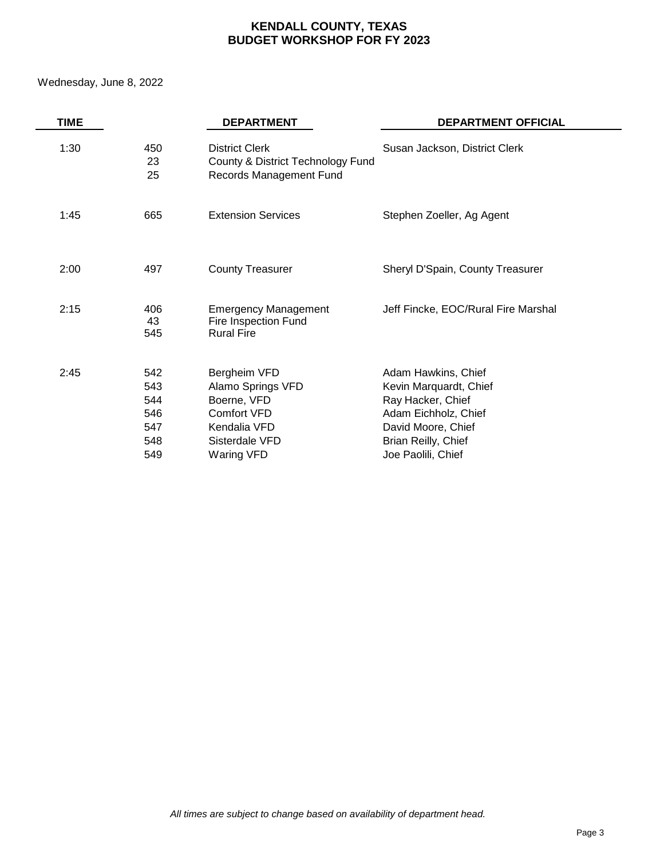Wednesday, June 8, 2022

| <b>TIME</b> |                                               | <b>DEPARTMENT</b>                                                                                               | <b>DEPARTMENT OFFICIAL</b>                                                                                                                                    |
|-------------|-----------------------------------------------|-----------------------------------------------------------------------------------------------------------------|---------------------------------------------------------------------------------------------------------------------------------------------------------------|
| 1:30        | 450<br>23<br>25                               | <b>District Clerk</b><br>County & District Technology Fund<br>Records Management Fund                           | Susan Jackson, District Clerk                                                                                                                                 |
| 1:45        | 665                                           | <b>Extension Services</b>                                                                                       | Stephen Zoeller, Ag Agent                                                                                                                                     |
| 2:00        | 497                                           | <b>County Treasurer</b>                                                                                         | Sheryl D'Spain, County Treasurer                                                                                                                              |
| 2:15        | 406<br>43<br>545                              | <b>Emergency Management</b><br>Fire Inspection Fund<br><b>Rural Fire</b>                                        | Jeff Fincke, EOC/Rural Fire Marshal                                                                                                                           |
| 2:45        | 542<br>543<br>544<br>546<br>547<br>548<br>549 | Bergheim VFD<br>Alamo Springs VFD<br>Boerne, VFD<br>Comfort VFD<br>Kendalia VFD<br>Sisterdale VFD<br>Waring VFD | Adam Hawkins, Chief<br>Kevin Marquardt, Chief<br>Ray Hacker, Chief<br>Adam Eichholz, Chief<br>David Moore, Chief<br>Brian Reilly, Chief<br>Joe Paolili, Chief |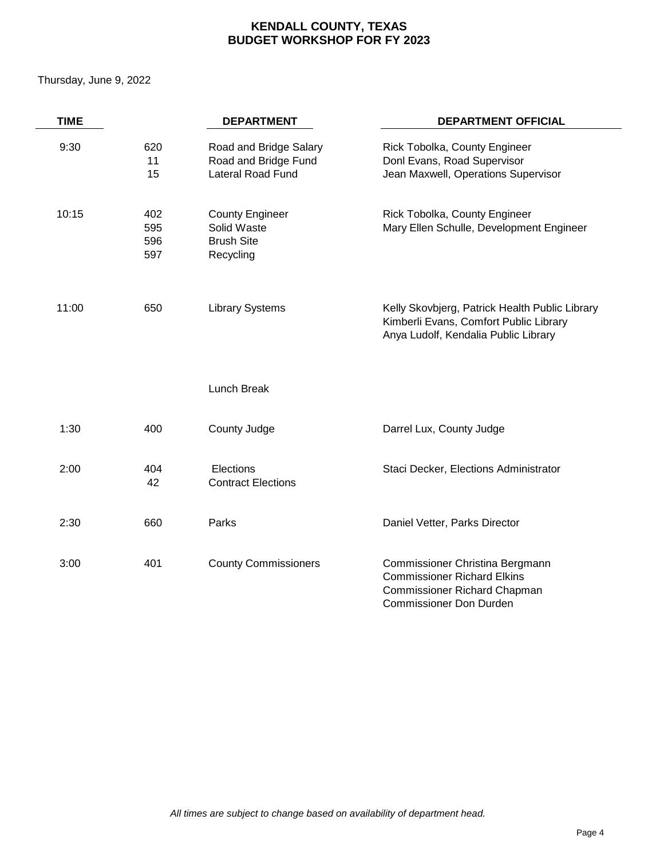Thursday, June 9, 2022

| <b>TIME</b> |                          | <b>DEPARTMENT</b>                                                       | <b>DEPARTMENT OFFICIAL</b>                                                                                                              |
|-------------|--------------------------|-------------------------------------------------------------------------|-----------------------------------------------------------------------------------------------------------------------------------------|
| 9:30        | 620<br>11<br>15          | Road and Bridge Salary<br>Road and Bridge Fund<br>Lateral Road Fund     | Rick Tobolka, County Engineer<br>Donl Evans, Road Supervisor<br>Jean Maxwell, Operations Supervisor                                     |
| 10:15       | 402<br>595<br>596<br>597 | <b>County Engineer</b><br>Solid Waste<br><b>Brush Site</b><br>Recycling | Rick Tobolka, County Engineer<br>Mary Ellen Schulle, Development Engineer                                                               |
| 11:00       | 650                      | <b>Library Systems</b>                                                  | Kelly Skovbjerg, Patrick Health Public Library<br>Kimberli Evans, Comfort Public Library<br>Anya Ludolf, Kendalia Public Library        |
|             |                          | Lunch Break                                                             |                                                                                                                                         |
| 1:30        | 400                      | County Judge                                                            | Darrel Lux, County Judge                                                                                                                |
| 2:00        | 404<br>42                | Elections<br><b>Contract Elections</b>                                  | Staci Decker, Elections Administrator                                                                                                   |
| 2:30        | 660                      | Parks                                                                   | Daniel Vetter, Parks Director                                                                                                           |
| 3:00        | 401                      | <b>County Commissioners</b>                                             | Commissioner Christina Bergmann<br><b>Commissioner Richard Elkins</b><br>Commissioner Richard Chapman<br><b>Commissioner Don Durden</b> |